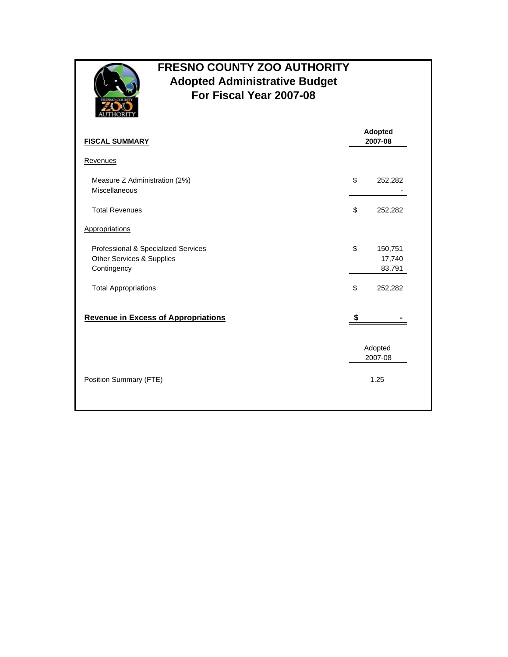

## **FRESNO COUNTY ZOO AUTHORITY Adopted Administrative Budget For Fiscal Year 2007-08**

| <b>FISCAL SUMMARY</b>                                                           | Adopted<br>2007-08                |  |
|---------------------------------------------------------------------------------|-----------------------------------|--|
| Revenues                                                                        |                                   |  |
| Measure Z Administration (2%)<br>Miscellaneous                                  | \$<br>252,282                     |  |
| <b>Total Revenues</b>                                                           | \$<br>252,282                     |  |
| Appropriations                                                                  |                                   |  |
| Professional & Specialized Services<br>Other Services & Supplies<br>Contingency | \$<br>150,751<br>17,740<br>83,791 |  |
| <b>Total Appropriations</b>                                                     | \$<br>252,282                     |  |
| <b>Revenue in Excess of Appropriations</b>                                      | \$                                |  |
|                                                                                 | Adopted<br>2007-08                |  |
| Position Summary (FTE)                                                          | 1.25                              |  |
|                                                                                 |                                   |  |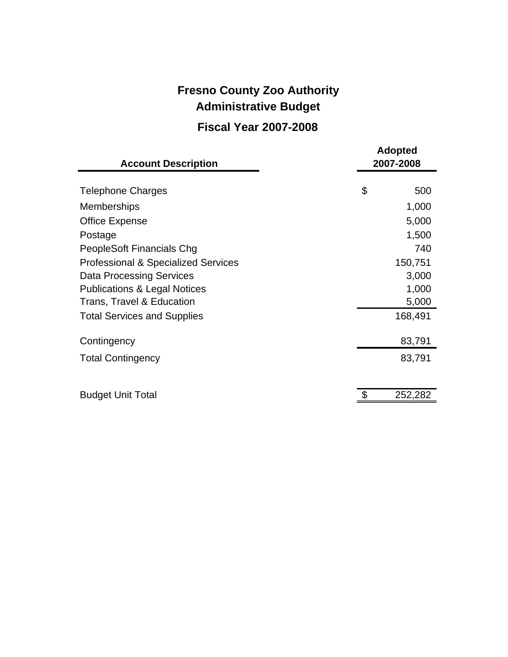## **Fresno County Zoo Authority Fiscal Year 2007-2008 Administrative Budget**

## **Adopted Account Description 2007-2008** Telephone Charges 600 \$ 500 Memberships 1,000 Office Expense 5,000 Postage 1,500 PeopleSoft Financials Chg 740 Professional & Specialized Services 150,751 Data Processing Services 3,000 Publications & Legal Notices 1,000 Trans, Travel & Education 6,000 5,000 Total Services and Supplies 168,491 Contingency 83,791 Total Contingency **83,791** Budget Unit Total 252,282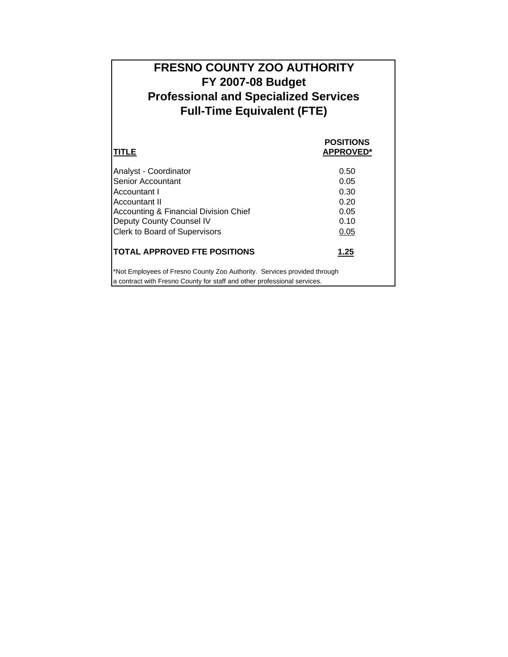| <b>FRESNO COUNTY ZOO AUTHORITY</b>           |  |  |  |
|----------------------------------------------|--|--|--|
| <b>FY 2007-08 Budget</b>                     |  |  |  |
| <b>Professional and Specialized Services</b> |  |  |  |
| <b>Full-Time Equivalent (FTE)</b>            |  |  |  |
|                                              |  |  |  |
| <b>POSITIONS</b>                             |  |  |  |
| <b>APPROVED*</b>                             |  |  |  |

| Analyst - Coordinator                                                                                                                                | 0.50 |
|------------------------------------------------------------------------------------------------------------------------------------------------------|------|
| Senior Accountant                                                                                                                                    | 0.05 |
| Accountant I                                                                                                                                         | 0.30 |
| Accountant II                                                                                                                                        | 0.20 |
| Accounting & Financial Division Chief                                                                                                                | 0.05 |
| Deputy County Counsel IV                                                                                                                             | 0.10 |
| <b>Clerk to Board of Supervisors</b>                                                                                                                 | 0.05 |
| <b>TOTAL APPROVED FTE POSITIONS</b>                                                                                                                  | 1.25 |
| *Not Employees of Fresno County Zoo Authority. Services provided through<br>a contract with Fresno County for staff and other professional services. |      |